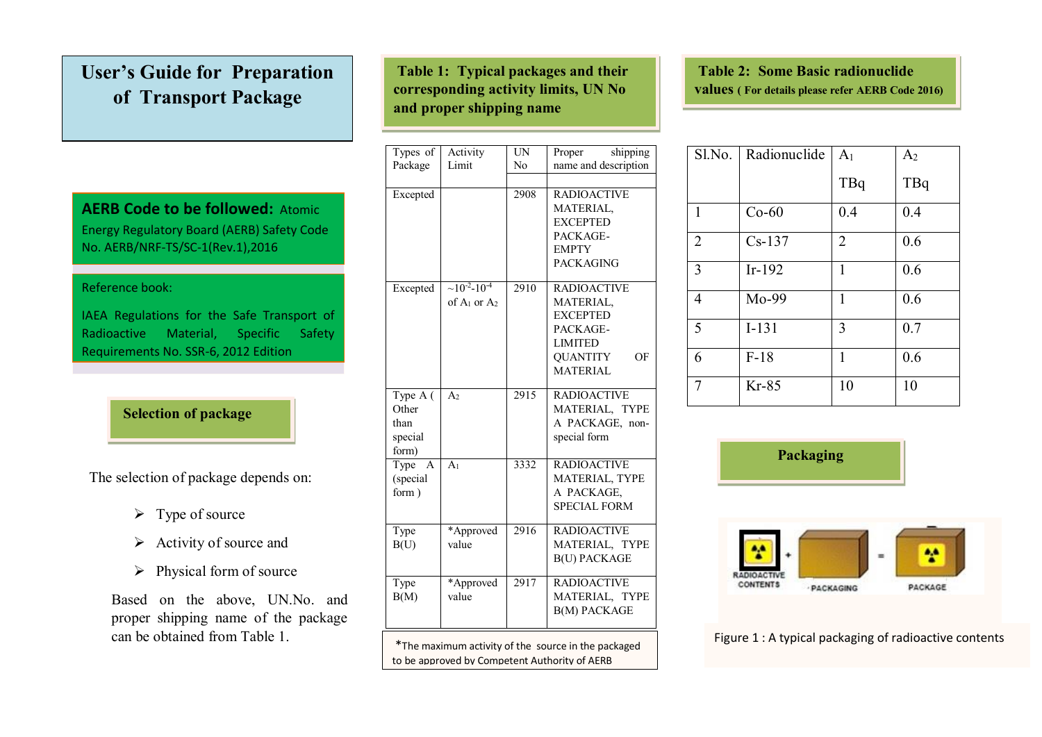## **User's Guide for Preparation of Transport Package**

#### **AERB Code to be followed:** Atomic

Energy Regulatory Board (AERB) Safety Code No. AERB/NRF-TS/SC-1(Rev.1),2016

#### Reference book:

IAEA Regulations for the Safe Transport of Radioactive Material, Specific Safety Requirements No. SSR-6, 2012 Edition

#### **Selection of package**

The selection of package depends on:

- $\triangleright$  Type of source
- $\triangleright$  Activity of source and
- $\triangleright$  Physical form of source

Based on the above, UN.No. and proper shipping name of the package can be obtained from Table 1.

**Table 1: Typical packages and their corresponding activity limits, UN No and proper shipping name**

| Types of<br>Package                                 | Activity<br>Limit                                              | <b>UN</b><br>N <sub>0</sub> | Proper<br>shipping<br>name and description                                                                                   |  |
|-----------------------------------------------------|----------------------------------------------------------------|-----------------------------|------------------------------------------------------------------------------------------------------------------------------|--|
|                                                     |                                                                |                             |                                                                                                                              |  |
| Excepted                                            |                                                                | 2908                        | <b>RADIOACTIVE</b><br><b>MATERIAL,</b><br><b>EXCEPTED</b><br>PACKAGE-<br><b>EMPTY</b><br><b>PACKAGING</b>                    |  |
| Excepted                                            | $\sim$ 10 <sup>-2</sup> -10 <sup>-4</sup><br>of $A_1$ or $A_2$ | 2910                        | <b>RADIOACTIVE</b><br>MATERIAL,<br><b>EXCEPTED</b><br>PACKAGE-<br><b>LIMITED</b><br>OF<br><b>OUANTITY</b><br><b>MATERIAL</b> |  |
| Type A (<br>Other<br>than<br>special<br>form)       | A <sub>2</sub>                                                 | 2915                        | <b>RADIOACTIVE</b><br>MATERIAL, TYPE<br>A PACKAGE, non-<br>special form                                                      |  |
| Type<br>$\mathbf{A}$<br>(special<br>form)           | A <sub>1</sub>                                                 | 3332                        | <b>RADIOACTIVE</b><br>MATERIAL, TYPE<br>A PACKAGE,<br><b>SPECIAL FORM</b>                                                    |  |
| Type<br>B(U)                                        | *Approved<br>value                                             | 2916                        | <b>RADIOACTIVE</b><br>MATERIAL, TYPE<br><b>B(U) PACKAGE</b>                                                                  |  |
| Type<br>B(M)                                        | *Approved<br>value                                             | 2917                        | <b>RADIOACTIVE</b><br>MATERIAL, TYPE<br><b>B(M) PACKAGE</b>                                                                  |  |
| *The maximum activity of the source in the nackaged |                                                                |                             |                                                                                                                              |  |

The maximum activity of the source in the packaged to be approved by Competent Authority of AERB

**Table 2: Some Basic radionuclide values ( For details please refer AERB Code 2016)**

| Sl.No.         | Radionuclide | A <sub>1</sub> | A <sub>2</sub> |
|----------------|--------------|----------------|----------------|
|                |              | TBq            | TBq            |
| 1              | $Co-60$      | 0.4            | 0.4            |
| $\overline{2}$ | $Cs-137$     | $\overline{2}$ | 0.6            |
| 3              | $Ir-192$     | 1              | 0.6            |
| $\overline{4}$ | $Mo-99$      | 1              | 0.6            |
| 5              | $I-131$      | 3              | 0.7            |
| 6              | $F-18$       | 1              | 0.6            |
| 7              | $Kr-85$      | 10             | 10             |

# **Packaging**



Figure 1 : A typical packaging of radioactive contents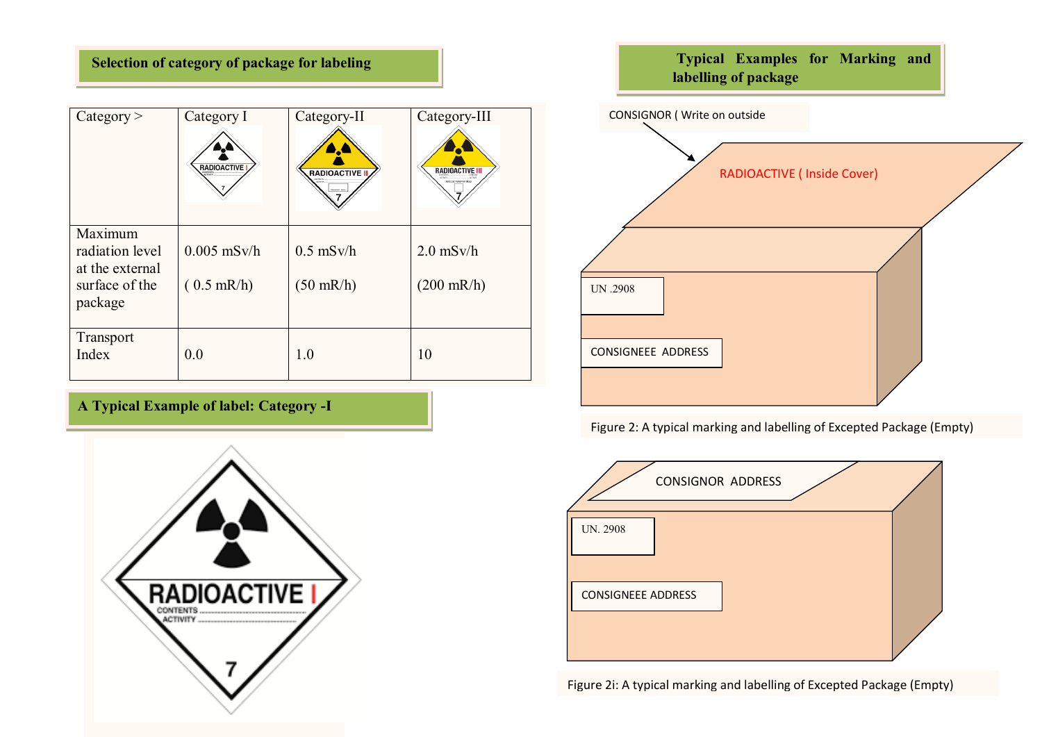### **Selection of category of package for labeling**

| Category >                                    | Category I<br><b>RADIOACTIVE</b> | Category-II<br><b>RADIOACTIVE</b> | Category-III<br><b>RADIOACTIVE III</b><br><b>NOCE OE TRANSPORT INEID</b> |
|-----------------------------------------------|----------------------------------|-----------------------------------|--------------------------------------------------------------------------|
| Maximum<br>radiation level<br>at the external | $0.005$ mSv/h                    | $0.5$ mSv/h                       | $2.0$ mSv/h                                                              |
| surface of the<br>package                     | $(0.5$ mR/h)                     | $(50$ mR/h)                       | $(200 \text{ mR/h})$                                                     |
| Transport<br>Index                            | 0.0                              | 1.0                               | 10                                                                       |

**A Typical Example of label: Category -I**





Figure 2: A typical marking and labelling of Excepted Package (Empty)

| <b>CONSIGNOR ADDRESS</b>  |  |
|---------------------------|--|
| <b>UN. 2908</b>           |  |
| <b>CONSIGNEEE ADDRESS</b> |  |

Figure 2i: A typical marking and labelling of Excepted Package (Empty)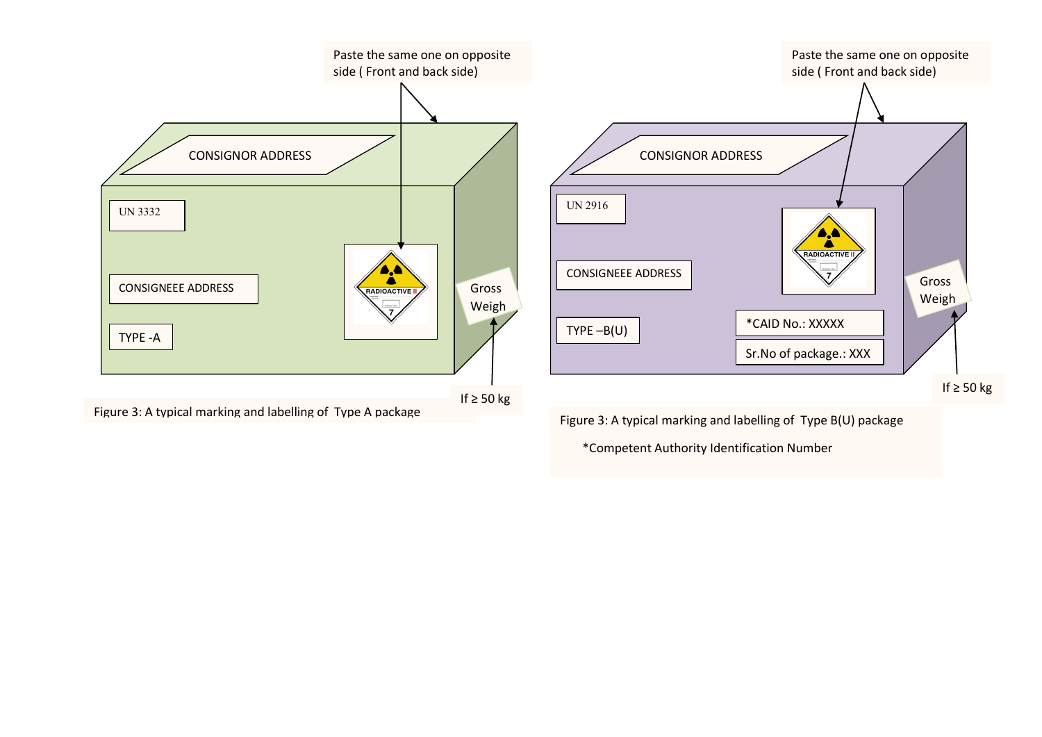





Figure 3: A typical marking and labelling of Type B(U) package

\*Competent Authority Identification Number